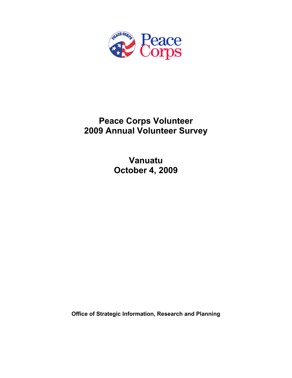

# **Peace Corps Volunteer 2009 Annual Volunteer Survey**

**Vanuatu October 4, 2009** 

**Office of Strategic Information, Research and Planning**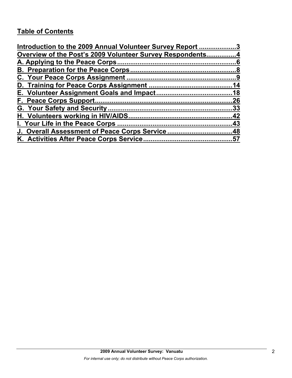# **Table of Contents**

| Introduction to the 2009 Annual Volunteer Survey Report 3 |     |
|-----------------------------------------------------------|-----|
| Overview of the Post's 2009 Volunteer Survey Respondents4 |     |
|                                                           |     |
|                                                           |     |
|                                                           |     |
|                                                           |     |
|                                                           |     |
|                                                           | .26 |
|                                                           |     |
|                                                           |     |
|                                                           |     |
| J. Overall Assessment of Peace Corps Service48            |     |
|                                                           |     |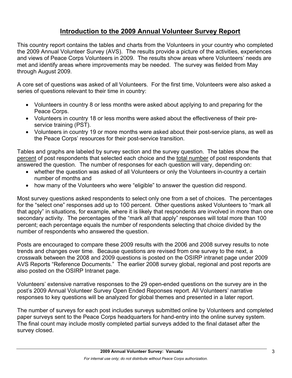## **Introduction to the 2009 Annual Volunteer Survey Report**

This country report contains the tables and charts from the Volunteers in your country who completed the 2009 Annual Volunteer Survey (AVS). The results provide a picture of the activities, experiences and views of Peace Corps Volunteers in 2009. The results show areas where Volunteers' needs are met and identify areas where improvements may be needed. The survey was fielded from May through August 2009.

A core set of questions was asked of all Volunteers. For the first time, Volunteers were also asked a series of questions relevant to their time in country:

- Volunteers in country 8 or less months were asked about applying to and preparing for the Peace Corps.
- Volunteers in country 18 or less months were asked about the effectiveness of their preservice training (PST).
- Volunteers in country 19 or more months were asked about their post-service plans, as well as the Peace Corps' resources for their post-service transition.

Tables and graphs are labeled by survey section and the survey question. The tables show the percent of post respondents that selected each choice and the total number of post respondents that answered the question. The number of responses for each question will vary, depending on:

- whether the question was asked of all Volunteers or only the Volunteers in-country a certain number of months and
- how many of the Volunteers who were "eligible" to answer the question did respond.

Most survey questions asked respondents to select only one from a set of choices. The percentages for the "select one" responses add up to 100 percent. Other questions asked Volunteers to "mark all that apply" in situations, for example, where it is likely that respondents are involved in more than one secondary activity. The percentages of the "mark all that apply" responses will total more than 100 percent; each percentage equals the number of respondents selecting that choice divided by the number of respondents who answered the question.

Posts are encouraged to compare these 2009 results with the 2006 and 2008 survey results to note trends and changes over time. Because questions are revised from one survey to the next, a crosswalk between the 2008 and 2009 questions is posted on the OSIRP intranet page under 2009 AVS Reports "Reference Documents." The earlier 2008 survey global, regional and post reports are also posted on the OSIRP Intranet page.

Volunteers' extensive narrative responses to the 29 open-ended questions on the survey are in the post's 2009 Annual Volunteer Survey Open Ended Reponses report. All Volunteers' narrative responses to key questions will be analyzed for global themes and presented in a later report.

The number of surveys for each post includes surveys submitted online by Volunteers and completed paper surveys sent to the Peace Corps headquarters for hand-entry into the online survey system. The final count may include mostly completed partial surveys added to the final dataset after the survey closed.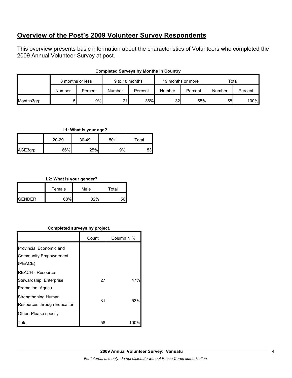## **Overview of the Post's 2009 Volunteer Survey Respondents**

This overview presents basic information about the characteristics of Volunteers who completed the 2009 Annual Volunteer Survey at post.

|            | 8 months or less |         | 9 to 18 months |         | 19 months or more |         | Total  |         |
|------------|------------------|---------|----------------|---------|-------------------|---------|--------|---------|
|            | Number           | Percent | Number         | Percent | Number            | Percent | Number | Percent |
| Months3grp |                  | 9%      | 21.            | 36%     | 32 <sub>l</sub>   | 55%     | 58     | 100%    |

## **Completed Surveys by Months in Country**

### **L1: What is your age?**

|         | 20-29 | 30-49 | -50 | Total |
|---------|-------|-------|-----|-------|
| AGE3grp | 66%   | 25%   | 9%  | 53    |

## **L2: What is your gender?**

|                 | Female | Male | Total |
|-----------------|--------|------|-------|
| <b>I</b> GENDER | 68%    | 220/ | ᄗ     |

## **Completed surveys by project.**

|                                                           | Count | Column N % |
|-----------------------------------------------------------|-------|------------|
| Provincial Economic and                                   |       |            |
| <b>Community Empowerment</b>                              |       |            |
| (PEACE)                                                   |       |            |
| <b>REACH - Resource</b>                                   |       |            |
| Stewardship, Enterprise                                   | 27    | 47%        |
| Promotion, Agricu                                         |       |            |
| <b>Strengthening Human</b><br>Resources through Education | 31    | 53%        |
| Other. Please specify                                     |       |            |
| Total                                                     | 58    | 100°       |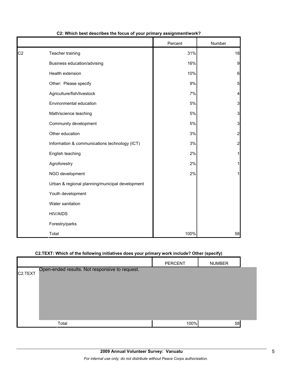|                |                                                 | Percent | Number         |
|----------------|-------------------------------------------------|---------|----------------|
| C <sub>2</sub> | Teacher training                                | 31%     | 18             |
|                | Business education/advising                     | 16%     | 9              |
|                | Health extension                                | 10%     | 6              |
|                | Other: Please specify                           | 9%      | 5 <sub>5</sub> |
|                | Agriculture/fish/livestock                      | 7%      | 4              |
|                | Environmental education                         | 5%      | 3              |
|                | Math/science teaching                           | 5%      | 3              |
|                | Community development                           | 5%      | $\mathbf{3}$   |
|                | Other education                                 | 3%      | $\overline{2}$ |
|                | Information & communications technology (ICT)   | 3%      | $\overline{2}$ |
|                | English teaching                                | 2%      | 1              |
|                | Agroforestry                                    | 2%      |                |
|                | NGO development                                 | 2%      | 1              |
|                | Urban & regional planning/municipal development |         |                |
|                | Youth development                               |         |                |
|                | Water sanitation                                |         |                |
|                | <b>HIV/AIDS</b>                                 |         |                |
|                | Forestry/parks                                  |         |                |
|                | Total                                           | 100%    | 58             |

## **C2: Which best describes the focus of your primary assignment/work?**

## **C2.TEXT: Which of the following initiatives does your primary work include? Other (specify)**

|                      |                                                | <b>PERCENT</b> | <b>NUMBER</b> |  |
|----------------------|------------------------------------------------|----------------|---------------|--|
| C <sub>2</sub> .TEXT | Open-ended results. Not responsive to request. |                |               |  |
|                      |                                                |                |               |  |
|                      |                                                |                |               |  |
|                      |                                                |                |               |  |
|                      |                                                |                |               |  |
|                      | Total                                          | 100%           | 58            |  |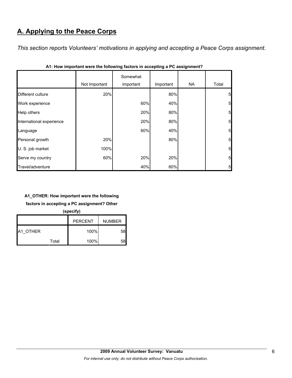# **A. Applying to the Peace Corps**

*This section reports Volunteers' motivations in applying and accepting a Peace Corps assignment.* 

|                          | Not Important | Somewhat<br>important | Important | NA. | Total           |
|--------------------------|---------------|-----------------------|-----------|-----|-----------------|
| Different culture        | 20%           |                       | 80%       |     | $5\overline{)}$ |
| Work experience          |               | 60%                   | 40%       |     | 5 <sub>l</sub>  |
| Help others              |               | 20%                   | 80%       |     | 5 <sub>l</sub>  |
| International experience |               | 20%                   | 80%       |     | 5 <sub>l</sub>  |
| Language                 |               | 60%                   | 40%       |     | 5 <sub>5</sub>  |
| Personal growth          | 20%           |                       | 80%       |     | 5 <sub>l</sub>  |
| U. S. job market         | 100%          |                       |           |     | $5\overline{)}$ |
| Serve my country         | 60%           | 20%                   | 20%       |     | 5 <sub>5</sub>  |
| Travel/adventure         |               | 40%                   | 60%       |     | 5 <sub>l</sub>  |

| A1: How important were the following factors in accepting a PC assignment? |  |  |
|----------------------------------------------------------------------------|--|--|
|----------------------------------------------------------------------------|--|--|

## **A1\_OTHER: How important were the following**

**factors in accepting a PC assignment? Other** 

**(specify)**

|                 |       | <b>PERCENT</b> | <b>NUMBER</b> |
|-----------------|-------|----------------|---------------|
| <b>A1 OTHER</b> |       | 100%           | 58            |
|                 | Total | 100%           | 58            |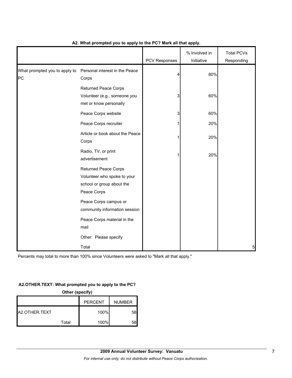|                                     |                                                                                                        | <b>PCV Responses</b> | % Involved in<br>Initiative | <b>Total PCVs</b><br>Responding |
|-------------------------------------|--------------------------------------------------------------------------------------------------------|----------------------|-----------------------------|---------------------------------|
| What prompted you to apply to<br>PC | Personal interest in the Peace<br>Corps                                                                | 4                    | 80%                         |                                 |
|                                     | <b>Returned Peace Corps</b><br>Volunteer (e.g., someone you<br>met or know personally                  | 3                    | 60%                         |                                 |
|                                     | Peace Corps website                                                                                    | 3                    | 60%                         |                                 |
|                                     | Peace Corps recruiter                                                                                  |                      | 20%                         |                                 |
|                                     | Article or book about the Peace<br>Corps                                                               |                      | 20%                         |                                 |
|                                     | Radio, TV, or print<br>advertisement                                                                   |                      | 20%                         |                                 |
|                                     | <b>Returned Peace Corps</b><br>Volunteer who spoke to your<br>school or group about the<br>Peace Corps |                      |                             |                                 |
|                                     | Peace Corps campus or<br>community information session                                                 |                      |                             |                                 |
|                                     | Peace Corps material in the<br>mail                                                                    |                      |                             |                                 |
|                                     | Other: Please specify                                                                                  |                      |                             |                                 |
|                                     | Total                                                                                                  |                      |                             | 5                               |

## **A2. What prompted you to apply to the PC? Mark all that apply.**

Percents may total to more than 100% since Volunteers were asked to "Mark all that apply."

## **A2.OTHER.TEXT: What prompted you to apply to the PC?**

|               | Other (specify) |                |               |
|---------------|-----------------|----------------|---------------|
|               |                 | <b>PERCENT</b> | <b>NUMBER</b> |
| A2.OTHER.TEXT |                 | 100%           | 58            |
|               | Total           | 100%           | 58            |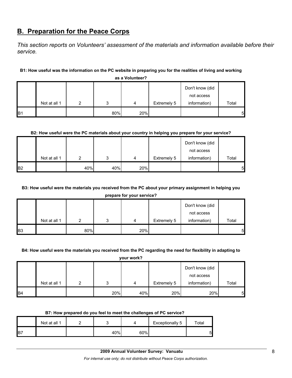## **B. Preparation for the Peace Corps**

*This section reports on Volunteers' assessment of the materials and information available before their service.* 

## **B1: How useful was the information on the PC website in preparing you for the realities of living and working**

|                |              |   |     |     |             | Don't know (did<br>not access |       |
|----------------|--------------|---|-----|-----|-------------|-------------------------------|-------|
|                | Not at all 1 | ◠ | ◠   | 4   | Extremely 5 | information)                  | Total |
| B <sub>1</sub> |              |   | 80% | 20% |             |                               | 5     |

**as a Volunteer?**

## **B2: How useful were the PC materials about your country in helping you prepare for your service?**

|                |              |     |     |     |             | Don't know (did |       |
|----------------|--------------|-----|-----|-----|-------------|-----------------|-------|
|                |              |     |     |     |             | not access      |       |
|                | Not at all 1 | ົ   | ົ   | 4   | Extremely 5 | information)    | Total |
| B <sub>2</sub> |              | 40% | 40% | 20% |             |                 | 5     |

## **B3: How useful were the materials you received from the PC about your primary assignment in helping you**

**prepare for your service?**

|                |              |     |   |     |             | Don't know (did |       |
|----------------|--------------|-----|---|-----|-------------|-----------------|-------|
|                |              |     |   |     |             | not access      |       |
|                | Not at all 1 |     | ິ | 4   | Extremely 5 | information)    | Total |
| B <sub>3</sub> |              | 80% |   | 20% |             |                 | 51    |

#### **B4: How useful were the materials you received from the PC regarding the need for flexibility in adapting to**

**your work?**

|                 |              |     |     |             | Don't know (did            |       |
|-----------------|--------------|-----|-----|-------------|----------------------------|-------|
|                 | Not at all 1 |     | 4   | Extremely 5 | not access<br>information) | Total |
|                 |              |     |     |             |                            |       |
| IB <sub>4</sub> |              | 20% | 40% | 20%         | 20%                        | 5     |

#### **B7: How prepared do you feel to meet the challenges of PC service?**

|            | Not at all 1 |     |     | Exceptionally 5 | $\tau$ otal |
|------------|--------------|-----|-----|-----------------|-------------|
| <b>IB7</b> |              | 40% | 60% |                 | 5           |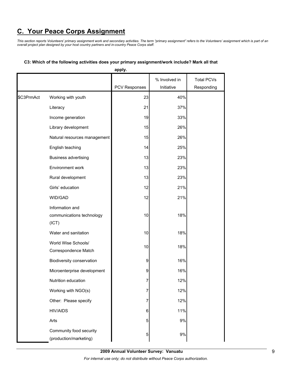# **C. Your Peace Corps Assignment**

*This section reports Volunteers' primary assignment work and secondary activities. The term "primary assignment" refers to the Volunteers' assignment which is part of an overall project plan designed by your host country partners and in-country Peace Corps staff.* 

|            |                                                       | apply.        |                             |                                 |
|------------|-------------------------------------------------------|---------------|-----------------------------|---------------------------------|
|            |                                                       | PCV Responses | % Involved in<br>Initiative | <b>Total PCVs</b><br>Responding |
| \$C3PrmAct | Working with youth                                    | 23            | 40%                         |                                 |
|            | Literacy                                              | 21            | 37%                         |                                 |
|            | Income generation                                     | 19            | 33%                         |                                 |
|            | Library development                                   | 15            | 26%                         |                                 |
|            | Natural resources management                          | 15            | 26%                         |                                 |
|            | English teaching                                      | 14            | 25%                         |                                 |
|            | <b>Business advertising</b>                           | 13            | 23%                         |                                 |
|            | Environment work                                      | 13            | 23%                         |                                 |
|            | Rural development                                     | 13            | 23%                         |                                 |
|            | Girls' education                                      | 12            | 21%                         |                                 |
|            | WID/GAD                                               | 12            | 21%                         |                                 |
|            | Information and<br>communications technology<br>(ICT) | 10            | 18%                         |                                 |
|            | Water and sanitation                                  | 10            | 18%                         |                                 |
|            | World Wise Schools/<br>Correspondence Match           | 10            | 18%                         |                                 |
|            | Biodiversity conservation                             | 9             | 16%                         |                                 |
|            | Microenterprise development                           | 9             | 16%                         |                                 |
|            | Nutrition education                                   | 7             | 12%                         |                                 |
|            | Working with NGO(s)                                   | 7             | 12%                         |                                 |
|            | Other: Please specify                                 | 7             | 12%                         |                                 |
|            | <b>HIV/AIDS</b>                                       | 6             | 11%                         |                                 |
|            | Arts                                                  | 5             | 9%                          |                                 |
|            | Community food security<br>(production/marketing)     | 5             | 9%                          |                                 |

#### **C3: Which of the following activities does your primary assignment/work include? Mark all that**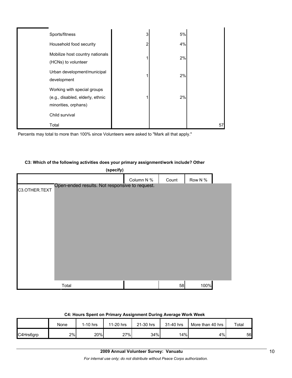| Sports/fitness                                                                          | 3 | 5% |    |
|-----------------------------------------------------------------------------------------|---|----|----|
| Household food security                                                                 | 2 | 4% |    |
| Mobilize host country nationals<br>(HCNs) to volunteer                                  |   | 2% |    |
| Urban development/municipal<br>development                                              |   | 2% |    |
| Working with special groups<br>(e.g., disabled, elderly, ethnic<br>minorities, orphans) |   | 2% |    |
| Child survival                                                                          |   |    |    |
| Total                                                                                   |   |    | 57 |

Percents may total to more than 100% since Volunteers were asked to "Mark all that apply."

#### **C3: Which of the following activities does your primary assignment/work include? Other**

|               | (specify)                                      |            |       |         |  |
|---------------|------------------------------------------------|------------|-------|---------|--|
|               |                                                | Column N % | Count | Row N % |  |
| C3.OTHER.TEXT | Open-ended results. Not responsive to request. |            |       |         |  |
|               | Total                                          |            | 58    | 100%    |  |

#### **C4: Hours Spent on Primary Assignment During Average Work Week**

|           | None | 1-10 hrs | 11-20 hrs | ?1-30 hrs | 31-40 hrs | More than 40 hrs | Total |
|-----------|------|----------|-----------|-----------|-----------|------------------|-------|
| C4Hrs6grp | 2%   | 20%      | 27%       | 34%       | 14%       | 4%               | 56    |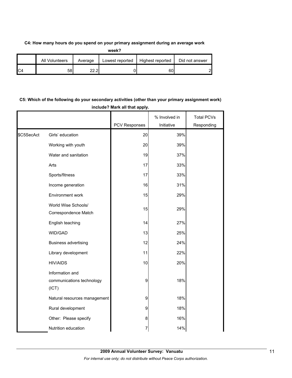## **C4: How many hours do you spend on your primary assignment during an average work**

| ۰,<br>×<br>٠ |
|--------------|

|                | All Volunteers | Average         | Lowest reported | Highest reported | Did not answer |
|----------------|----------------|-----------------|-----------------|------------------|----------------|
| C <sub>4</sub> | 58             | וה הה<br>$-1.1$ |                 | 60               | റ              |

## **C5: Which of the following do your secondary activities (other than your primary assignment work) include? Mark all that apply.**

|            |                                                       |               | % Involved in | <b>Total PCVs</b> |
|------------|-------------------------------------------------------|---------------|---------------|-------------------|
|            |                                                       | PCV Responses | Initiative    | Responding        |
| \$C5SecAct | Girls' education                                      | 20            | 39%           |                   |
|            | Working with youth                                    | 20            | 39%           |                   |
|            | Water and sanitation                                  | 19            | 37%           |                   |
|            | Arts                                                  | 17            | 33%           |                   |
|            | Sports/fitness                                        | 17            | 33%           |                   |
|            | Income generation                                     | 16            | 31%           |                   |
|            | Environment work                                      | 15            | 29%           |                   |
|            | World Wise Schools/<br>Correspondence Match           | 15            | 29%           |                   |
|            | English teaching                                      | 14            | 27%           |                   |
|            | WID/GAD                                               | 13            | 25%           |                   |
|            | <b>Business advertising</b>                           | 12            | 24%           |                   |
|            | Library development                                   | 11            | 22%           |                   |
|            | <b>HIV/AIDS</b>                                       | 10            | 20%           |                   |
|            | Information and<br>communications technology<br>(ICT) | 9             | 18%           |                   |
|            | Natural resources management                          | 9             | 18%           |                   |
|            | Rural development                                     | 9             | 18%           |                   |
|            | Other: Please specify                                 | 8             | 16%           |                   |
|            | Nutrition education                                   | 7             | 14%           |                   |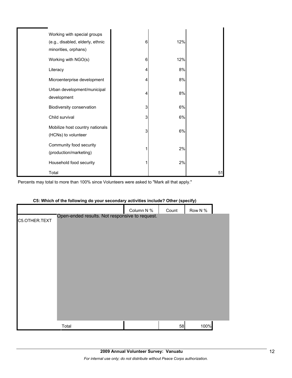| Working with special groups<br>(e.g., disabled, elderly, ethnic<br>minorities, orphans) | 6 | 12% |    |
|-----------------------------------------------------------------------------------------|---|-----|----|
| Working with NGO(s)                                                                     | 6 | 12% |    |
| Literacy                                                                                | 4 | 8%  |    |
| Microenterprise development                                                             | 4 | 8%  |    |
| Urban development/municipal<br>development                                              | 4 | 8%  |    |
| Biodiversity conservation                                                               | 3 | 6%  |    |
| Child survival                                                                          | 3 | 6%  |    |
| Mobilize host country nationals<br>(HCNs) to volunteer                                  | 3 | 6%  |    |
| Community food security<br>(production/marketing)                                       |   | 2%  |    |
| Household food security                                                                 |   | 2%  |    |
| Total                                                                                   |   |     | 51 |

Percents may total to more than 100% since Volunteers were asked to "Mark all that apply."

|               |                                                |            | $\ddot{\phantom{a}}$ | .,      |  |
|---------------|------------------------------------------------|------------|----------------------|---------|--|
|               |                                                | Column N % | Count                | Row N % |  |
| C5.OTHER.TEXT | Open-ended results. Not responsive to request. |            |                      |         |  |
|               |                                                |            |                      |         |  |
|               |                                                |            |                      |         |  |
|               |                                                |            |                      |         |  |
|               |                                                |            |                      |         |  |
|               |                                                |            |                      |         |  |
|               |                                                |            |                      |         |  |
|               |                                                |            |                      |         |  |
|               |                                                |            |                      |         |  |
|               |                                                |            |                      |         |  |
|               |                                                |            |                      |         |  |
|               |                                                |            |                      |         |  |
|               | Total                                          |            | 58                   | 100%    |  |
|               |                                                |            |                      |         |  |

## **C5: Which of the following do your secondary activities include? Other (specify)**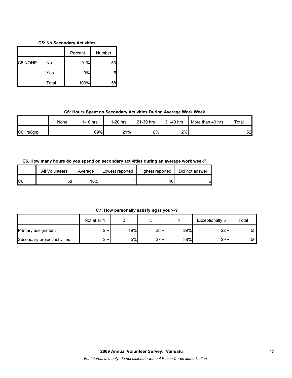## **C5: No Secondary Activities**

|         |       | Percent | Number |
|---------|-------|---------|--------|
| C5.NONE | No    | 91%     | 53     |
|         | Yes   | 9%      | 5      |
|         | Total | 100%    | 58     |

## **C6: Hours Spent on Secondary Activities During Average Work Week**

|           | None | 1-10 hrs | 11-20 hrs | 21-30 hrs | 31-40 hrs | More than 40 hrs | Total |
|-----------|------|----------|-----------|-----------|-----------|------------------|-------|
| C6Hrs6grp |      | 69%      | 21%       | 8%        | 2%        |                  | 52    |

## **C6. How many hours do you spend on secondary activities during an average work week?**

|     | All Volunteers | Average | Lowest reported | Highest reported | Did not answer |
|-----|----------------|---------|-----------------|------------------|----------------|
| IC6 | 581            | 10.5    |                 | 40               | 6              |

**C7: How personally satisfying is your--?**

|                              | Not at all 1 |     |     |     | Exceptionally 5 | Total |
|------------------------------|--------------|-----|-----|-----|-----------------|-------|
| Primary assignment           | 2%           | 19% | 28% | 29% | 22%             | 58    |
| Secondary project/activities | 2%           | 5%l | 27% | 38% | 29%             | 56    |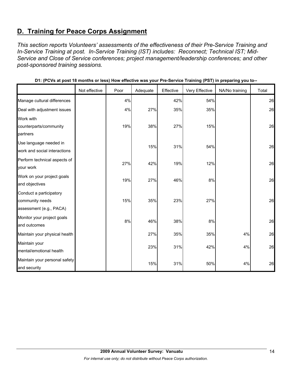## **D. Training for Peace Corps Assignment**

*This section reports Volunteers' assessments of the effectiveness of their Pre-Service Training and In-Service Training at post. In-Service Training (IST) includes: Reconnect; Technical IST; Mid-Service and Close of Service conferences; project management/leadership conferences; and other post-sponsored training sessions.* 

|                                                                       | Not effective | Poor | Adequate | Effective | Very Effective | NA/No training | Total |
|-----------------------------------------------------------------------|---------------|------|----------|-----------|----------------|----------------|-------|
| Manage cultural differences                                           |               | 4%   |          | 42%       | 54%            |                | 26    |
| Deal with adjustment issues                                           |               | 4%   | 27%      | 35%       | 35%            |                | 26    |
| Work with<br>counterparts/community<br>partners                       |               | 19%  | 38%      | 27%       | 15%            |                | 26    |
| Use language needed in<br>work and social interactions                |               |      | 15%      | 31%       | 54%            |                | 26    |
| Perform technical aspects of<br>your work                             |               | 27%  | 42%      | 19%       | 12%            |                | 26    |
| Work on your project goals<br>and objectives                          |               | 19%  | 27%      | 46%       | 8%             |                | 26    |
| Conduct a participatory<br>community needs<br>assessment (e.g., PACA) |               | 15%  | 35%      | 23%       | 27%            |                | 26    |
| Monitor your project goals<br>and outcomes                            |               | 8%   | 46%      | 38%       | 8%             |                | 26    |
| Maintain your physical health                                         |               |      | 27%      | 35%       | 35%            | 4%             | 26    |
| Maintain your<br>mental/emotional health                              |               |      | 23%      | 31%       | 42%            | 4%             | 26    |
| Maintain your personal safety<br>and security                         |               |      | 15%      | 31%       | 50%            | 4%             | 26    |

**D1: (PCVs at post 18 months or less) How effective was your Pre-Service Training (PST) in preparing you to--**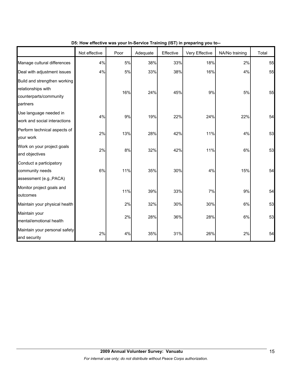|                                                                                          | Not effective | Poor | Adequate | Effective | Very Effective | NA/No training | Total |
|------------------------------------------------------------------------------------------|---------------|------|----------|-----------|----------------|----------------|-------|
| Manage cultural differences                                                              | 4%            | 5%   | 38%      | 33%       | 18%            | 2%             | 55    |
| Deal with adjustment issues                                                              | 4%            | 5%   | 33%      | 38%       | 16%            | 4%             | 55    |
| Build and strengthen working<br>relationships with<br>counterparts/community<br>partners |               | 16%  | 24%      | 45%       | 9%             | 5%             | 55    |
| Use language needed in<br>work and social interactions                                   | 4%            | 9%   | 19%      | 22%       | 24%            | 22%            | 54    |
| Perform technical aspects of<br>your work                                                | 2%            | 13%  | 28%      | 42%       | 11%            | 4%             | 53    |
| Work on your project goals<br>and objectives                                             | 2%            | 8%   | 32%      | 42%       | 11%            | 6%             | 53    |
| Conduct a participatory<br>community needs<br>assessment (e.g., PACA)                    | 6%            | 11%  | 35%      | 30%       | 4%             | 15%            | 54    |
| Monitor project goals and<br>outcomes                                                    |               | 11%  | 39%      | 33%       | $7\%$          | 9%             | 54    |
| Maintain your physical health                                                            |               | 2%   | 32%      | 30%       | 30%            | 6%             | 53    |
| Maintain your<br>mental/emotional health                                                 |               | 2%   | 28%      | 36%       | 28%            | 6%             | 53    |
| Maintain your personal safety<br>and security                                            | 2%            | 4%   | 35%      | 31%       | 26%            | 2%             | 54    |

**D5: How effective was your In-Service Training (IST) in preparing you to--**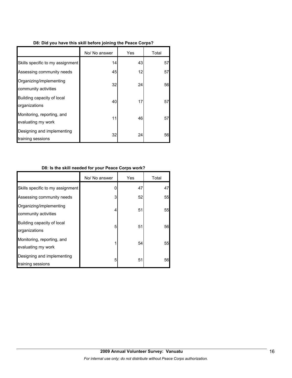|                                                  | No/ No answer | Yes | Total |
|--------------------------------------------------|---------------|-----|-------|
| Skills specific to my assignment                 | 14            | 43  | 57    |
| Assessing community needs                        | 45            | 12  | 57    |
| Organizing/implementing<br>community activities  | 32            | 24  | 56    |
| Building capacity of local<br>organizations      | 40            | 17  | 57    |
| Monitoring, reporting, and<br>evaluating my work | 11            | 46  | 57    |
| Designing and implementing<br>training sessions  | 32            | 24  | 56    |

## **D8: Is the skill needed for your Peace Corps work?**

|                                                  | No/ No answer | Yes | Total |
|--------------------------------------------------|---------------|-----|-------|
| Skills specific to my assignment                 |               | 47  | 47    |
| Assessing community needs                        | 3             | 52  | 55    |
| Organizing/implementing<br>community activities  | 4             | 51  | 55    |
| Building capacity of local<br>organizations      | 5             | 51  | 56    |
| Monitoring, reporting, and<br>evaluating my work |               | 54  | 55    |
| Designing and implementing<br>training sessions  | 5             | 51  | 56    |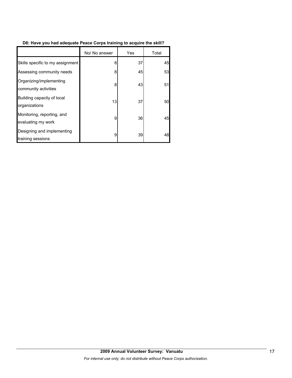## **D8: Have you had adequate Peace Corps training to acquire the skill?**

|                                                  | No/ No answer | Yes | Total |
|--------------------------------------------------|---------------|-----|-------|
| Skills specific to my assignment                 | 8             | 37  | 45    |
| Assessing community needs                        | 8             | 45  | 53    |
| Organizing/implementing<br>community activities  | 8             | 43  | 51    |
| Building capacity of local<br>organizations      | 13            | 37  | 50    |
| Monitoring, reporting, and<br>evaluating my work | 9             | 36  | 45    |
| Designing and implementing<br>training sessions  | 9             | 39  | 48    |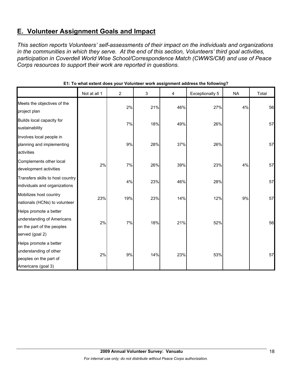## **E. Volunteer Assignment Goals and Impact**

*This section reports Volunteers' self-assessments of their impact on the individuals and organizations in the communities in which they serve. At the end of this section, Volunteers' third goal activities, participation in Coverdell World Wise School/Correspondence Match (CWWS/CM) and use of Peace Corps resources to support their work are reported in questions.* 

|                                                                                                       | Not at all 1 | 2   | 3   | 4   | <b>Exceptionally 5</b> | <b>NA</b> | Total |
|-------------------------------------------------------------------------------------------------------|--------------|-----|-----|-----|------------------------|-----------|-------|
| Meets the objectives of the<br>project plan                                                           |              | 2%  | 21% | 46% | 27%                    | 4%        | 56    |
| Builds local capacity for<br>sustainability                                                           |              | 7%  | 18% | 49% | 26%                    |           | 57    |
| Involves local people in<br>planning and implementing<br>activities                                   |              | 9%  | 28% | 37% | 26%                    |           | 57    |
| Complements other local<br>development activities                                                     | 2%           | 7%  | 26% | 39% | 23%                    | 4%        | 57    |
| Transfers skills to host country<br>individuals and organizations                                     |              | 4%  | 23% | 46% | 28%                    |           | 57    |
| Mobilizes host country<br>nationals (HCNs) to volunteer                                               | 23%          | 19% | 23% | 14% | 12%                    | 9%        | 57    |
| Helps promote a better<br>understanding of Americans<br>on the part of the peoples<br>served (goal 2) | 2%           | 7%  | 18% | 21% | 52%                    |           | 56    |
| Helps promote a better<br>understanding of other<br>peoples on the part of<br>Americans (goal 3)      | 2%           | 9%  | 14% | 23% | 53%                    |           | 57    |

## **E1: To what extent does your Volunteer work assignment address the following?**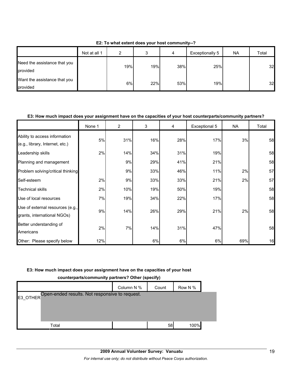**E2: To what extent does your host community--?**

|                                          | Not at all 1 | ົ   |     | 4   | Exceptionally 5 | <b>NA</b> | Total |
|------------------------------------------|--------------|-----|-----|-----|-----------------|-----------|-------|
| Need the assistance that you<br>provided |              | 19% | 19% | 38% | 25%             |           | 32    |
| Want the assistance that you<br>provided |              | 6%  | 22% | 53% | 19%             |           | 32    |

## **E3: How much impact does your assignment have on the capacities of your host counterparts/community partners?**

|                                                                  | None 1 | $\overline{2}$ | 3   | 4   | Exceptional 5 | <b>NA</b> | Total |
|------------------------------------------------------------------|--------|----------------|-----|-----|---------------|-----------|-------|
| Ability to access information<br>(e.g., library, Internet, etc.) | 5%     | 31%            | 16% | 28% | 17%           | 3%        | 58    |
| Leadership skills                                                | 2%     | 14%            | 34% | 31% | 19%           |           | 58    |
| Planning and management                                          |        | 9%             | 29% | 41% | 21%           |           | 58    |
| Problem solving/critical thinking                                |        | 9%             | 33% | 46% | 11%           | 2%        | 57    |
| Self-esteem                                                      | 2%     | 9%             | 33% | 33% | 21%           | 2%        | 57    |
| <b>Technical skills</b>                                          | 2%     | 10%            | 19% | 50% | 19%           |           | 58    |
| Use of local resources                                           | 7%     | 19%            | 34% | 22% | 17%           |           | 58    |
| Use of external resources (e.g.,<br>grants, international NGOs)  | 9%     | 14%            | 26% | 29% | 21%           | 2%        | 58    |
| Better understanding of<br>Americans                             | 2%     | 7%             | 14% | 31% | 47%           |           | 58    |
| Other: Please specify below                                      | 12%    |                | 6%  | 6%  | 6%            | 69%       | 16    |

#### **E3: How much impact does your assignment have on the capacities of your host**

| Counterparts/Community partners: Other (Specify)           |            |       |         |  |  |  |  |  |
|------------------------------------------------------------|------------|-------|---------|--|--|--|--|--|
|                                                            | Column N % | Count | Row N % |  |  |  |  |  |
| Open-ended results. Not responsive to request.<br>E3 OTHER |            |       |         |  |  |  |  |  |
|                                                            |            |       |         |  |  |  |  |  |
|                                                            |            |       |         |  |  |  |  |  |
| Total                                                      |            | 58    | 100%    |  |  |  |  |  |

## **counterparts/community partners? Other (specify)**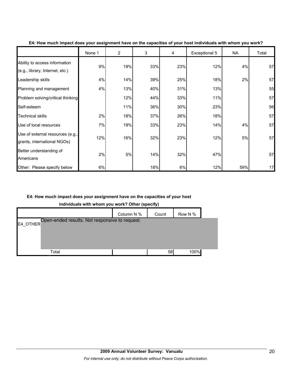|                                                                  | None 1 | $\overline{2}$ | 3   | 4   | Exceptional 5 | NA  | Total |
|------------------------------------------------------------------|--------|----------------|-----|-----|---------------|-----|-------|
| Ability to access information<br>(e.g., library, Internet, etc.) | 9%     | 19%            | 33% | 23% | 12%           | 4%  | 57    |
| Leadership skills                                                | 4%     | 14%            | 39% | 25% | 18%           | 2%  | 57    |
| Planning and management                                          | 4%     | 13%            | 40% | 31% | 13%           |     | 55    |
| Problem solving/critical thinking                                |        | 12%            | 44% | 33% | 11%           |     | 57    |
| Self-esteem                                                      |        | 11%            | 36% | 30% | 23%           |     | 56    |
| <b>Technical skills</b>                                          | 2%     | 18%            | 37% | 26% | 18%           |     | 57    |
| Use of local resources                                           | 7%     | 19%            | 33% | 23% | 14%           | 4%  | 57    |
| Use of external resources (e.g.,<br>grants, international NGOs)  | 12%    | 16%            | 32% | 23% | 12%           | 5%  | 57    |
| Better understanding of<br>Americans                             | 2%     | 5%             | 14% | 32% | 47%           |     | 57    |
| Other: Please specify below                                      | 6%     |                | 18% | 6%  | 12%           | 59% | 17    |

## **E4: How much impact does your assignment have on the capacities of your host individuals with whom you work?**

## **E4: How much impact does your assignment have on the capacities of your host**

**individuals with whom you work? Other (specify)**

|                                                            | Column N % | Count | Row N % |  |
|------------------------------------------------------------|------------|-------|---------|--|
| Open-ended results. Not responsive to request.<br>E4_OTHER |            |       |         |  |
|                                                            |            |       |         |  |
|                                                            |            |       |         |  |
| Total                                                      |            | 58    | 100%    |  |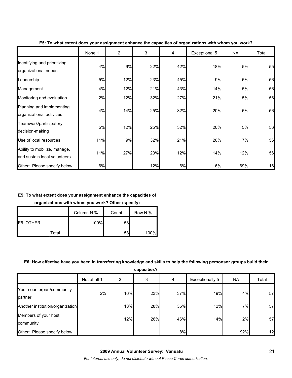|                                                              | None 1 | $\overline{2}$ | 3   | 4   | Exceptional 5 | <b>NA</b> | Total |
|--------------------------------------------------------------|--------|----------------|-----|-----|---------------|-----------|-------|
| Identifying and prioritizing<br>organizational needs         | 4%     | 9%             | 22% | 42% | 18%           | 5%        | 55    |
| Leadership                                                   | 5%     | 12%            | 23% | 45% | 9%            | 5%        | 56    |
| Management                                                   | 4%     | 12%            | 21% | 43% | 14%           | 5%        | 56    |
| Monitoring and evaluation                                    | 2%     | 12%            | 32% | 27% | 21%           | 5%        | 56    |
| Planning and implementing<br>organizational activities       | 4%     | 14%            | 25% | 32% | 20%           | 5%        | 56    |
| Teamwork/participatory<br>decision-making                    | 5%     | 12%            | 25% | 32% | 20%           | 5%        | 56    |
| Use of local resources                                       | 11%    | 9%             | 32% | 21% | 20%           | 7%        | 56    |
| Ability to mobilize, manage,<br>and sustain local volunteers | 11%    | 27%            | 23% | 12% | 14%           | 12%       | 56    |
| Other: Please specify below                                  | 6%     |                | 12% | 6%  | 6%            | 69%       | 16    |

**E5: To what extent does your assignment enhance the capacities of organizations with whom you work?**

## **E5: To what extent does your assignment enhance the capacities of**

**organizations with whom you work? Other (specify)**

|          |       | Column N % | Count | Row N % |
|----------|-------|------------|-------|---------|
| E5 OTHER |       | 100%       | 58    |         |
|          | Total |            | 58    | 100%    |

## **E6: How effective have you been in transferring knowledge and skills to help the following personsor groups build their**

**capacities?**

|                                       | Not at all 1 | 2   | 3   | 4   | Exceptionally 5 | <b>NA</b> | Total |
|---------------------------------------|--------------|-----|-----|-----|-----------------|-----------|-------|
| Your counterpart/community<br>partner | 2%           | 16% | 23% | 37% | 19%             | 4%        | 57    |
| Another institution/organization      |              | 18% | 28% | 35% | 12%             | 7%        | 57    |
| Members of your host<br>community     |              | 12% | 26% | 46% | 14%             | 2%        | 57    |
| Other: Please specify below           |              |     |     | 8%  |                 | 92%       | 12    |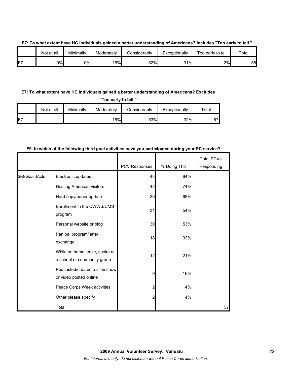|         | Not at all | Minimallv | Moderately | Considerabl∨ | Exceptionally | Too early to tell | Total |
|---------|------------|-----------|------------|--------------|---------------|-------------------|-------|
| F7<br>┕ | 0%l        | 0%        | 16%        | 52%          | 31%           | 2%                | 58    |

### **E7: To what extent have HC individuals gained a better understanding of Americans? Includes "Too early to tell."**

## **E7: To what extent have HC individuals gained a better understanding of Americans? Excludes**

**"Too early to tell."**

|     | Not at all | Minimally | Moderately | Considerably | Exceptionally | $\tau$ otal |
|-----|------------|-----------|------------|--------------|---------------|-------------|
| IE7 |            |           | 16%        | 53%          | 32%           | 57          |

## **E9. In which of the following third goal activities have you participated during your PC service?**

|               |                                                              |               |              | <b>Total PCVs</b> |
|---------------|--------------------------------------------------------------|---------------|--------------|-------------------|
|               |                                                              | PCV Responses | % Doing This | Responding        |
| \$E9Goal3Acts | Electronic updates                                           | 48            | 84%          |                   |
|               | Hosting American visitors                                    | 42            | 74%          |                   |
|               | Hard copy/paper update                                       | 39            | 68%          |                   |
|               | Enrollment in the CWWS/CMS<br>program                        | 31            | 54%          |                   |
|               | Personal website or blog                                     | 30            | 53%          |                   |
|               | Pen pal program/letter<br>exchange                           | 18            | 32%          |                   |
|               | While on home leave, spoke at<br>a school or community group | 12            | 21%          |                   |
|               | Podcasted/created a slide show<br>or video posted online     | 9             | 16%          |                   |
|               | Peace Corps Week activities                                  | 2             | 4%           |                   |
|               | Other please specify                                         | 2             | 4%           |                   |
|               | Total                                                        |               |              | 57                |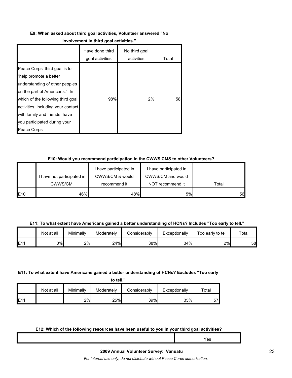#### **E9: When asked about third goal activities, Volunteer answered "No**

#### **involvement in third goal activities."**

|                                                                                                                                                                                                                                                                                       | Have done third<br>goal activities | No third goal<br>activities | Total |
|---------------------------------------------------------------------------------------------------------------------------------------------------------------------------------------------------------------------------------------------------------------------------------------|------------------------------------|-----------------------------|-------|
| Peace Corps' third goal is to<br>"help promote a better<br>understanding of other peoples<br>on the part of Americans." In<br>which of the following third goal<br>activities, including your contact<br>with family and friends, have<br>you participated during your<br>Peace Corps | 98%                                | 2%                          | 58    |

### **E10: Would you recommend participation in the CWWS CMS to other Volunteers?**

|                 |                          | I have participated in | I have participated in |       |
|-----------------|--------------------------|------------------------|------------------------|-------|
|                 | have not participated in | CWWS/CM & would        | CWWS/CM and would      |       |
|                 | CWWS/CM.                 | recommend it           | NOT recommend it       | Total |
| E <sub>10</sub> | 46%                      | 48%                    | 5%                     | 56    |

#### **E11: To what extent have Americans gained a better understanding of HCNs? Includes "Too early to tell."**

|     | Not at all | Minimallv | Moderately | Considerablv | Exceptionally | Too early to tell | $\tau$ otal |
|-----|------------|-----------|------------|--------------|---------------|-------------------|-------------|
| E11 | 0%         | 2%        | 24%        | 38%          | 34%           | 2%                | 58          |

#### **E11: To what extent have Americans gained a better understanding of HCNs? Excludes "Too early**

|     | Not at all | Minimally | Moderately | Considerablv | Exceptionally | $\tau$ otal |
|-----|------------|-----------|------------|--------------|---------------|-------------|
| E11 |            | 2%        | 25%        | 39%          | 35%           | 57          |

#### **E12: Which of the following resources have been useful to you in your third goal activities?**

| ⁄es |
|-----|
|     |
|     |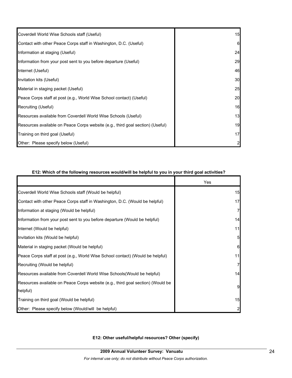| Coverdell World Wise Schools staff (Useful)                                    | 15           |
|--------------------------------------------------------------------------------|--------------|
| Contact with other Peace Corps staff in Washington, D.C. (Useful)              | 6            |
| Information at staging (Useful)                                                | 24           |
| Information from your post sent to you before departure (Useful)               | 29           |
| Internet (Useful)                                                              | 46           |
| Invitation kits (Useful)                                                       | 30           |
| Material in staging packet (Useful)                                            | 25           |
| Peace Corps staff at post (e.g., World Wise School contact) (Useful)           | 20           |
| Recruiting (Useful)                                                            | 16           |
| Resources available from Coverdell World Wise Schools (Useful)                 | 13           |
| Resources available on Peace Corps website (e.g., third goal section) (Useful) | 19           |
| Training on third goal (Useful)                                                | 17           |
| Other: Please specify below (Useful)                                           | $\mathbf{2}$ |

## **E12: Which of the following resources would/will be helpful to you in your third goal activities?**

|                                                                                             | Yes             |
|---------------------------------------------------------------------------------------------|-----------------|
| Coverdell World Wise Schools staff (Would be helpful)                                       | 15              |
| Contact with other Peace Corps staff in Washington, D.C. (Would be helpful)                 | 17              |
| Information at staging (Would be helpful)                                                   | $\overline{7}$  |
| Information from your post sent to you before departure (Would be helpful)                  | 14              |
| Internet (Would be helpful)                                                                 | 11              |
| Invitation kits (Would be helpful)                                                          | $5\overline{a}$ |
| Material in staging packet (Would be helpful)                                               | 6               |
| Peace Corps staff at post (e.g., World Wise School contact) (Would be helpful)              | 11              |
| Recruiting (Would be helpful)                                                               | $\overline{7}$  |
| Resources available from Coverdell World Wise Schools (Would be helpful)                    | 14              |
| Resources available on Peace Corps website (e.g., third goal section) (Would be<br>helpful) | 9               |
| Training on third goal (Would be helpful)                                                   | 15              |
| Other: Please specify below (Would/will be helpful)                                         | $\overline{2}$  |

## **E12: Other useful/helpful resources? Other (specify)**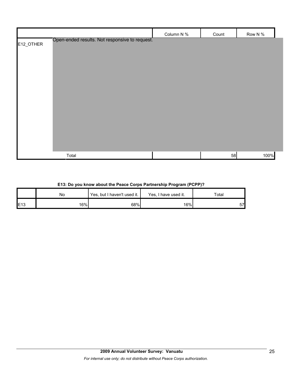|           |                                                | Column N % | Count | Row N % |
|-----------|------------------------------------------------|------------|-------|---------|
| E12_OTHER | Open-ended results. Not responsive to request. |            |       |         |
|           |                                                |            |       |         |
|           |                                                |            |       |         |
|           |                                                |            |       |         |
|           |                                                |            |       |         |
|           |                                                |            |       |         |
|           |                                                |            |       |         |
|           |                                                |            |       |         |
|           |                                                |            |       |         |
|           |                                                |            |       |         |
|           |                                                |            |       |         |
|           | Total                                          |            | 58    | 100%    |

## **E13: Do you know about the Peace Corps Partnership Program (PCPP)?**

|              | No  | Yes, but I haven't used it. | Yes, I have used it. | Total |
|--------------|-----|-----------------------------|----------------------|-------|
| <b>IE</b> 13 | 16% | 68%                         | 16%                  | 57    |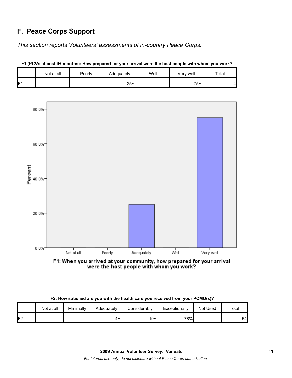## **F. Peace Corps Support**

*This section reports Volunteers' assessments of in-country Peace Corps.* 

|    | Not at all | Poorly | Adequately | Well | Verv well | Total |
|----|------------|--------|------------|------|-----------|-------|
| E٠ |            |        | 25%        |      | 75%       |       |



**F1 (PCVs at post 9+ months): How prepared for your arrival were the host people with whom you work?**

| F1: When you arrived at your community, how prepared for your arrival |
|-----------------------------------------------------------------------|
| were the host people with whom you work?                              |

| F2: How satisfied are you with the health care you received from your PCMO(s)? |  |  |
|--------------------------------------------------------------------------------|--|--|
|                                                                                |  |  |

|    | Not at all | Minimally | Adequately | Considerably | Exceptionally | Not Used | Total |
|----|------------|-----------|------------|--------------|---------------|----------|-------|
| 口つ |            |           | 4%         | 19%          | 78%           |          | 54    |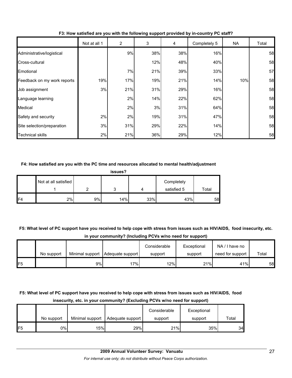|                             | Not at all 1 | $\overline{c}$ | 3   | 4   | Completely 5 | NA  | Total |
|-----------------------------|--------------|----------------|-----|-----|--------------|-----|-------|
| Administrative/logistical   |              | 9%             | 38% | 38% | 16%          |     | 58    |
| Cross-cultural              |              |                | 12% | 48% | 40%          |     | 58    |
| Emotional                   |              | 7%             | 21% | 39% | 33%          |     | 57    |
| Feedback on my work reports | 19%          | 17%            | 19% | 21% | 14%          | 10% | 58    |
| Job assignment              | 3%           | 21%            | 31% | 29% | 16%          |     | 58    |
| Language learning           |              | 2%             | 14% | 22% | 62%          |     | 58    |
| Medical                     |              | 2%             | 3%  | 31% | 64%          |     | 58    |
| Safety and security         | 2%           | 2%             | 19% | 31% | 47%          |     | 58    |
| Site selection/preparation  | 3%           | 31%            | 29% | 22% | 14%          |     | 58    |
| <b>Technical skills</b>     | 2%           | 21%            | 36% | 29% | 12%          |     | 58    |

## **F3: How satisfied are you with the following support provided by in-country PC staff?**

## **F4: How satisfied are you with the PC time and resources allocated to mental health/adjustment**

| issues?        |                      |    |     |     |                           |       |  |
|----------------|----------------------|----|-----|-----|---------------------------|-------|--|
|                | Not at all satisfied |    |     |     | Completely<br>satisfied 5 | Total |  |
| F <sub>4</sub> | 2%                   | 9% | 14% | 33% | 43%                       | 58    |  |

## **F5: What level of PC support have you received to help cope with stress from issues such as HIV/AIDS, food insecurity, etc. in your community? (Including PCVs w/no need for support)**

|                 |            |    |                                    | Considerable | Exceptional | NA/I have no     |       |
|-----------------|------------|----|------------------------------------|--------------|-------------|------------------|-------|
|                 | No support |    | Minimal support   Adequate support | support      | support     | need for support | Total |
| IF <sub>5</sub> |            | 9% | 17%                                | 12%          | 21%         | 41%              | 58    |

## **F5: What level of PC support have you received to help cope with stress from issues such as HIV/AIDS, food insecurity, etc. in your community? (Excluding PCVs w/no need for support)**

|     |            |                 |                  | Considerable | Exceptional |       |
|-----|------------|-----------------|------------------|--------------|-------------|-------|
|     | No support | Minimal support | Adequate support | support      | support     | Total |
| IF5 | 0%I        | 15%             | 29%              | 21%          | 35%         | 34    |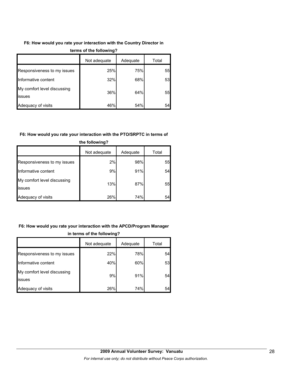## **F6: How would you rate your interaction with the Country Director in**

|                                              | Not adequate | Adequate | Total |  |
|----------------------------------------------|--------------|----------|-------|--|
| Responsiveness to my issues                  | 25%          | 75%      | 55    |  |
| Informative content                          | 32%          | 68%      | 53    |  |
| My comfort level discussing<br><b>issues</b> | 36%          | 64%      | 55    |  |
| Adequacy of visits                           | 46%          | 54%      | 54    |  |

## **terms of the following?**

## **F6: How would you rate your interaction with the PTO/SRPTC in terms of**

| the following?                        |              |          |       |  |  |
|---------------------------------------|--------------|----------|-------|--|--|
|                                       | Not adequate | Adequate | Total |  |  |
| Responsiveness to my issues           | 2%           | 98%      | 55    |  |  |
| Informative content                   | 9%           | 91%      | 54    |  |  |
| My comfort level discussing<br>issues | 13%          | 87%      | 55    |  |  |
| Adequacy of visits                    | 26%          | 74%      | 54    |  |  |

## **F6: How would you rate your interaction with the APCD/Program Manager in terms of the following?**

|                                              | Not adequate | Adequate | Total |
|----------------------------------------------|--------------|----------|-------|
| Responsiveness to my issues                  | 22%          | 78%      | 54    |
| Informative content                          | 40%          | 60%      | 53    |
| My comfort level discussing<br><b>issues</b> | 9%           | 91%      | 54    |
| Adequacy of visits                           | 26%          | 74%      | 54    |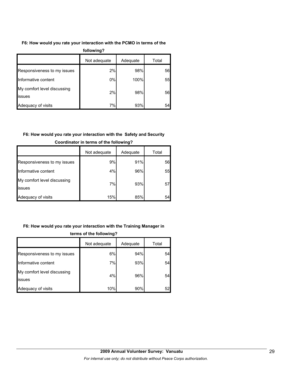## **F6: How would you rate your interaction with the PCMO in terms of the**

| following?                            |              |          |       |  |  |  |
|---------------------------------------|--------------|----------|-------|--|--|--|
|                                       | Not adequate | Adequate | Total |  |  |  |
| Responsiveness to my issues           | 2%           | 98%      | 56    |  |  |  |
| Informative content                   | 0%           | 100%     | 55    |  |  |  |
| My comfort level discussing<br>issues | 2%           | 98%      | 56    |  |  |  |
| Adequacy of visits                    | 7%           | 93%      | 54    |  |  |  |

## **F6: How would you rate your interaction with the Safety and Security**

|                                       | Not adequate | Adequate | Total |
|---------------------------------------|--------------|----------|-------|
| Responsiveness to my issues           | 9%           | 91%      | 56    |
| Informative content                   | 4%           | 96%      | 55    |
| My comfort level discussing<br>issues | 7%           | 93%      | 57    |
| Adequacy of visits                    | 15%          | 85%      | 54    |

## **Coordinator in terms of the following?**

## **F6: How would you rate your interaction with the Training Manager in**

|                                               | Not adequate | Adequate | Total |  |
|-----------------------------------------------|--------------|----------|-------|--|
| Responsiveness to my issues                   | 6%           | 94%      | 54    |  |
| Informative content                           | 7%           | 93%      | 54    |  |
| My comfort level discussing<br><b>lissues</b> | 4%           | 96%      | 54    |  |
| Adequacy of visits                            | 10%          | 90%      | 52    |  |

## **terms of the following?**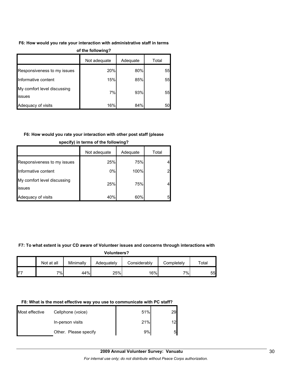### **F6: How would you rate your interaction with administrative staff in terms**

| u un inimera                          |              |          |       |  |  |  |
|---------------------------------------|--------------|----------|-------|--|--|--|
|                                       | Not adequate | Adequate | Total |  |  |  |
| Responsiveness to my issues           | 20%          | 80%      | 55    |  |  |  |
| Informative content                   | 15%          | 85%      | 55    |  |  |  |
| My comfort level discussing<br>issues | 7%           | 93%      | 55    |  |  |  |
| Adequacy of visits                    | 16%          | 84%      | 50    |  |  |  |

#### **of the following?**

## **F6: How would you rate your interaction with other post staff (please**

|                                       | Not adequate | Adequate | Total |
|---------------------------------------|--------------|----------|-------|
| Responsiveness to my issues           | 25%          | 75%      | 4     |
| Informative content                   | 0%           | 100%     | 2     |
| My comfort level discussing<br>issues | 25%          | 75%      | 4     |
| Adequacy of visits                    | 40%          | 60%      | 5     |

## **specify) in terms of the following?**

### **F7: To what extent is your CD aware of Volunteer issues and concerns through interactions with**

#### **Volunteers?**

|     | Not at all | Minimally | Adequatelv | Considerably | Completelv | Total |
|-----|------------|-----------|------------|--------------|------------|-------|
| IF7 | 7%         | 44%       | 25%        | 16%          | $7\%$      | 55    |

## **F8: What is the most effective way you use to communicate with PC staff?**

| Most effective | Cellphone (voice)     | 51% | 29 |
|----------------|-----------------------|-----|----|
|                | In-person visits      | 21% | 12 |
|                | Other. Please specify | 9%  | 5  |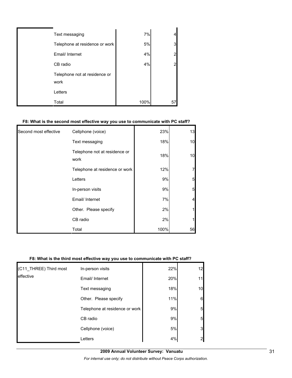| Text messaging                        | 7%   |    |
|---------------------------------------|------|----|
| Telephone at residence or work        | 5%   |    |
| Email/ Internet                       | 4%   |    |
| CB radio                              | 4%   |    |
| Telephone not at residence or<br>work |      |    |
| Letters                               |      |    |
| Total                                 | 100% | 57 |

### **F8: What is the second most effective way you use to communicate with PC staff?**

| Second most effective | Cellphone (voice)                     | 23%  | 13 |
|-----------------------|---------------------------------------|------|----|
|                       | Text messaging                        | 18%  | 10 |
|                       | Telephone not at residence or<br>work | 18%  | 10 |
|                       | Telephone at residence or work        | 12%  |    |
|                       | Letters                               | 9%   | 5  |
|                       | In-person visits                      | 9%   | 5  |
|                       | Email/ Internet                       | 7%   | 4  |
|                       | Other. Please specify                 | 2%   |    |
|                       | CB radio                              | 2%   |    |
|                       | Total                                 | 100% | 56 |

## **F8: What is the third most effective way you use to communicate with PC staff?**

| (C11_THREE) Third most | In-person visits               | 22% | 12             |
|------------------------|--------------------------------|-----|----------------|
| leffective             | Email/ Internet                | 20% |                |
|                        | Text messaging                 | 18% | 10             |
|                        | Other. Please specify          | 11% | 6              |
|                        | Telephone at residence or work | 9%  | 5              |
|                        | CB radio                       | 9%  | 5              |
|                        | Cellphone (voice)              | 5%  | 3              |
|                        | Letters                        | 4%  | $\overline{2}$ |

**2009 Annual Volunteer Survey: Vanuatu** 

*For internal use only; do not distribute without Peace Corps authorization.*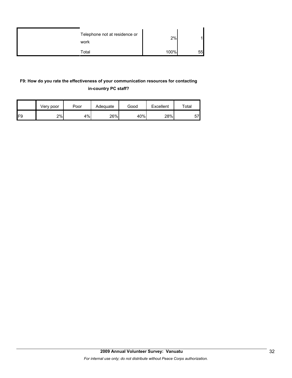| Telephone not at residence or<br>work | 2%   |    |
|---------------------------------------|------|----|
| Total                                 | 100% | 55 |

## **F9: How do you rate the effectiveness of your communication resources for contacting in-country PC staff?**

|     | Very poor | Poor | Adequate | Good |     | $\tau$ otal |  |
|-----|-----------|------|----------|------|-----|-------------|--|
| IF9 | 2%        | 4%   | 26%      | 40%  | 28% | 57)<br>ັ    |  |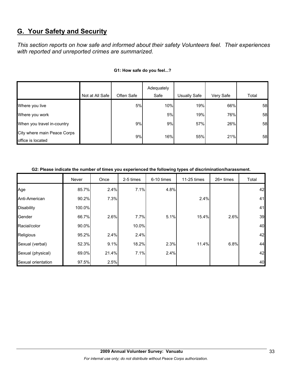## **G. Your Safety and Security**

*This section reports on how safe and informed about their safety Volunteers feel. Their experiences with reported and unreported crimes are summarized.* 

|                                                  |                 |            | Adequately |                     |           |       |
|--------------------------------------------------|-----------------|------------|------------|---------------------|-----------|-------|
|                                                  | Not at All Safe | Often Safe | Safe       | <b>Usually Safe</b> | Very Safe | Total |
| Where you live                                   |                 | 5%         | 10%        | 19%                 | 66%       | 58    |
| Where you work                                   |                 |            | 5%         | 19%                 | 76%       | 58    |
| When you travel in-country                       |                 | 9%         | 9%         | 57%                 | 26%       | 58    |
| City where main Peace Corps<br>office is located |                 | 9%         | 16%        | 55%                 | 21%       | 58    |

## **G1: How safe do you feel...?**

| G2: Please indicate the number of times you experienced the following types of discrimination/harassment. |  |
|-----------------------------------------------------------------------------------------------------------|--|
|                                                                                                           |  |

|                    | Never  | Once  | 2-5 times | 6-10 times | 11-25 times | $26+$ times | Total |
|--------------------|--------|-------|-----------|------------|-------------|-------------|-------|
| Age                | 85.7%  | 2.4%  | 7.1%      | 4.8%       |             |             | 42    |
| Anti-American      | 90.2%  | 7.3%  |           |            | 2.4%        |             | 41    |
| <b>Disability</b>  | 100.0% |       |           |            |             |             | 41    |
| Gender             | 66.7%  | 2.6%  | 7.7%      | 5.1%       | 15.4%       | 2.6%        | 39    |
| Racial/color       | 90.0%  |       | 10.0%     |            |             |             | 40    |
| Religious          | 95.2%  | 2.4%  | 2.4%      |            |             |             | 42    |
| Sexual (verbal)    | 52.3%  | 9.1%  | 18.2%     | 2.3%       | 11.4%       | 6.8%        | 44    |
| Sexual (physical)  | 69.0%  | 21.4% | 7.1%      | 2.4%       |             |             | 42    |
| Sexual orientation | 97.5%  | 2.5%  |           |            |             |             | 40    |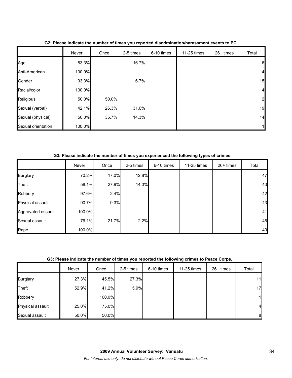|                    | Never  | Once  | 2-5 times | 6-10 times | 11-25 times | $26+ times$ | Total          |
|--------------------|--------|-------|-----------|------------|-------------|-------------|----------------|
| Age                | 83.3%  |       | 16.7%     |            |             |             | 6              |
| Anti-American      | 100.0% |       |           |            |             |             | $\overline{a}$ |
| Gender             | 93.3%  |       | 6.7%      |            |             |             | 15             |
| Racial/color       | 100.0% |       |           |            |             |             | $\overline{4}$ |
| Religious          | 50.0%  | 50.0% |           |            |             |             | $\mathbf{2}$   |
| Sexual (verbal)    | 42.1%  | 26.3% | 31.6%     |            |             |             | 19             |
| Sexual (physical)  | 50.0%  | 35.7% | 14.3%     |            |             |             | 14             |
| Sexual orientation | 100.0% |       |           |            |             |             |                |

**G2: Please indicate the number of times you reported discrimination/harassment events to PC.**

**G3: Please indicate the number of times you experienced the following types of crimes.**

|                    | Never  | Once  | 2-5 times | 6-10 times | 11-25 times | 26+ times | Total |
|--------------------|--------|-------|-----------|------------|-------------|-----------|-------|
| <b>Burglary</b>    | 70.2%  | 17.0% | 12.8%     |            |             |           | 47    |
| Theft              | 58.1%  | 27.9% | 14.0%     |            |             |           | 43    |
| Robbery            | 97.6%  | 2.4%  |           |            |             |           | 42    |
| Physical assault   | 90.7%  | 9.3%  |           |            |             |           | 43    |
| Aggravated assault | 100.0% |       |           |            |             |           | 41    |
| Sexual assault     | 76.1%  | 21.7% | 2.2%      |            |             |           | 46    |
| Rape               | 100.0% |       |           |            |             |           | 40    |

## **G3: Please indicate the number of times you reported the following crimes to Peace Corps.**

|                  | Never | Once   | 2-5 times | 6-10 times | 11-25 times | 26+ times | Total          |
|------------------|-------|--------|-----------|------------|-------------|-----------|----------------|
| <b>Burglary</b>  | 27.3% | 45.5%  | 27.3%     |            |             |           | 11             |
| Theft            | 52.9% | 41.2%  | 5.9%      |            |             |           | 17             |
| Robbery          |       | 100.0% |           |            |             |           | 1              |
| Physical assault | 25.0% | 75.0%  |           |            |             |           | $\overline{4}$ |
| Sexual assault   | 50.0% | 50.0%  |           |            |             |           | 8              |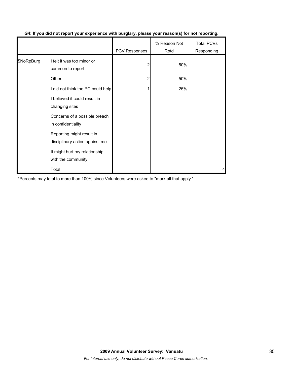|            |                                                             | PCV Responses | % Reason Not<br>Rptd | <b>Total PCVs</b><br>Responding |
|------------|-------------------------------------------------------------|---------------|----------------------|---------------------------------|
| \$NoRpBurg | I felt it was too minor or<br>common to report              | 2             | 50%                  |                                 |
|            | Other                                                       | 2             | 50%                  |                                 |
|            | I did not think the PC could help                           |               | 25%                  |                                 |
|            | I believed it could result in<br>changing sites             |               |                      |                                 |
|            | Concerns of a possible breach<br>in confidentiality         |               |                      |                                 |
|            | Reporting might result in<br>disciplinary action against me |               |                      |                                 |
|            | It might hurt my relationship<br>with the community         |               |                      |                                 |
|            | Total                                                       |               |                      | 4                               |

## **G4: If you did not report your experience with burglary, please your reason(s) for not reporting.**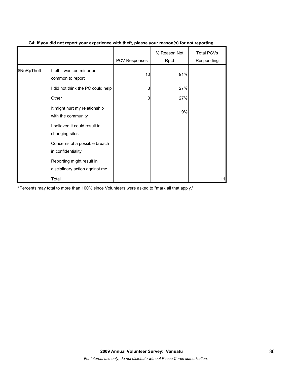|             |                                                             | <b>PCV Responses</b> | % Reason Not<br>Rptd | <b>Total PCVs</b><br>Responding |
|-------------|-------------------------------------------------------------|----------------------|----------------------|---------------------------------|
| \$NoRpTheft | I felt it was too minor or<br>common to report              | 10                   | 91%                  |                                 |
|             | I did not think the PC could help                           | 3                    | 27%                  |                                 |
|             | Other                                                       | 3                    | 27%                  |                                 |
|             | It might hurt my relationship<br>with the community         |                      | 9%                   |                                 |
|             | I believed it could result in<br>changing sites             |                      |                      |                                 |
|             | Concerns of a possible breach<br>in confidentiality         |                      |                      |                                 |
|             | Reporting might result in<br>disciplinary action against me |                      |                      |                                 |
|             | Total                                                       |                      |                      | 11                              |

## **G4: If you did not report your experience with theft, please your reason(s) for not reporting.**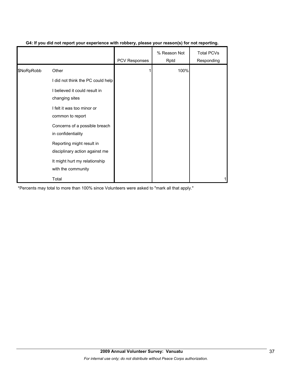|            |                                                             | <b>PCV Responses</b> | % Reason Not<br>Rptd | <b>Total PCVs</b><br>Responding |
|------------|-------------------------------------------------------------|----------------------|----------------------|---------------------------------|
| \$NoRpRobb | Other                                                       |                      | 100%                 |                                 |
|            | I did not think the PC could help                           |                      |                      |                                 |
|            | I believed it could result in<br>changing sites             |                      |                      |                                 |
|            | I felt it was too minor or<br>common to report              |                      |                      |                                 |
|            | Concerns of a possible breach<br>in confidentiality         |                      |                      |                                 |
|            | Reporting might result in<br>disciplinary action against me |                      |                      |                                 |
|            | It might hurt my relationship<br>with the community         |                      |                      |                                 |
|            | Total                                                       |                      |                      |                                 |

## **G4: If you did not report your experience with robbery, please your reason(s) for not reporting.**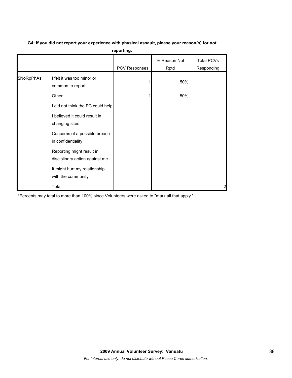| reporting. |                                                             |               |                      |                                 |  |  |  |  |
|------------|-------------------------------------------------------------|---------------|----------------------|---------------------------------|--|--|--|--|
|            |                                                             | PCV Responses | % Reason Not<br>Rptd | <b>Total PCVs</b><br>Responding |  |  |  |  |
| \$NoRpPhAs | I felt it was too minor or<br>common to report              |               | 50%                  |                                 |  |  |  |  |
|            | Other                                                       |               | 50%                  |                                 |  |  |  |  |
|            | I did not think the PC could help                           |               |                      |                                 |  |  |  |  |
|            | I believed it could result in<br>changing sites             |               |                      |                                 |  |  |  |  |
|            | Concerns of a possible breach<br>in confidentiality         |               |                      |                                 |  |  |  |  |
|            | Reporting might result in<br>disciplinary action against me |               |                      |                                 |  |  |  |  |
|            | It might hurt my relationship<br>with the community         |               |                      |                                 |  |  |  |  |
|            | Total                                                       |               |                      | 2                               |  |  |  |  |

# **G4: If you did not report your experience with physical assault, please your reason(s) for not**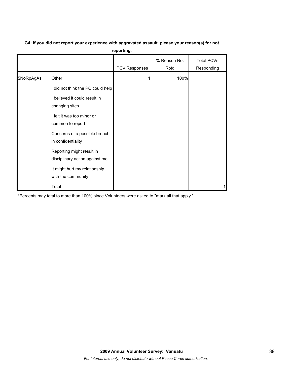| G4: If you did not report your experience with aggravated assault, please your reason(s) for not |
|--------------------------------------------------------------------------------------------------|
| reporting.                                                                                       |

|            |                                                             | PCV Responses | % Reason Not<br>Rptd | <b>Total PCVs</b><br>Responding |
|------------|-------------------------------------------------------------|---------------|----------------------|---------------------------------|
| \$NoRpAgAs | Other                                                       |               | 100%                 |                                 |
|            | I did not think the PC could help                           |               |                      |                                 |
|            | I believed it could result in<br>changing sites             |               |                      |                                 |
|            | I felt it was too minor or<br>common to report              |               |                      |                                 |
|            | Concerns of a possible breach<br>in confidentiality         |               |                      |                                 |
|            | Reporting might result in<br>disciplinary action against me |               |                      |                                 |
|            | It might hurt my relationship<br>with the community         |               |                      |                                 |
|            | Total                                                       |               |                      |                                 |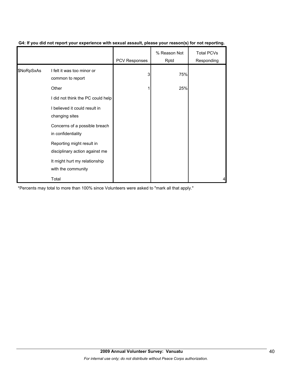|            |                                                             | <b>PCV Responses</b> | % Reason Not<br>Rptd | <b>Total PCVs</b><br>Responding |
|------------|-------------------------------------------------------------|----------------------|----------------------|---------------------------------|
| \$NoRpSxAs | I felt it was too minor or<br>common to report              | 3                    | 75%                  |                                 |
|            | Other                                                       |                      | 25%                  |                                 |
|            | I did not think the PC could help                           |                      |                      |                                 |
|            | I believed it could result in<br>changing sites             |                      |                      |                                 |
|            | Concerns of a possible breach<br>in confidentiality         |                      |                      |                                 |
|            | Reporting might result in<br>disciplinary action against me |                      |                      |                                 |
|            | It might hurt my relationship<br>with the community         |                      |                      |                                 |
|            | Total                                                       |                      |                      |                                 |

## **G4: If you did not report your experience with sexual assault, please your reason(s) for not reporting.**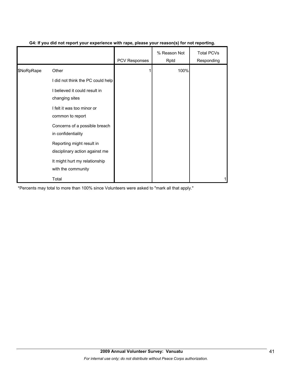|            |                                                             | <b>PCV Responses</b> | % Reason Not<br>Rptd | <b>Total PCVs</b><br>Responding |
|------------|-------------------------------------------------------------|----------------------|----------------------|---------------------------------|
| \$NoRpRape | Other                                                       |                      | 100%                 |                                 |
|            | I did not think the PC could help                           |                      |                      |                                 |
|            | I believed it could result in<br>changing sites             |                      |                      |                                 |
|            | I felt it was too minor or<br>common to report              |                      |                      |                                 |
|            | Concerns of a possible breach<br>in confidentiality         |                      |                      |                                 |
|            | Reporting might result in<br>disciplinary action against me |                      |                      |                                 |
|            | It might hurt my relationship<br>with the community         |                      |                      |                                 |
|            | Total                                                       |                      |                      |                                 |

## **G4: If you did not report your experience with rape, please your reason(s) for not reporting.**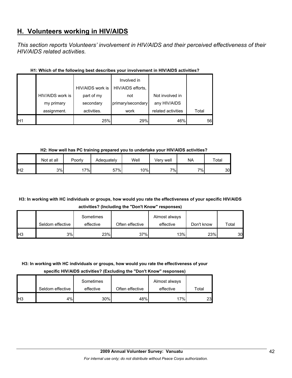## **H. Volunteers working in HIV/AIDS**

*This section reports Volunteers' involvement in HIV/AIDS and their perceived effectiveness of their HIV/AIDS related activities.* 

|                |                  | HIV/AIDS work is | Involved in<br>HIV/AIDS efforts, |                    |       |
|----------------|------------------|------------------|----------------------------------|--------------------|-------|
|                | HIV/AIDS work is | part of my       | not                              | Not involved in    |       |
|                | my primary       | secondary        | primary/secondary                | any HIV/AIDS       |       |
|                | assignment.      | activities.      | work                             | related activities | Total |
| H <sub>1</sub> |                  | 25%              | 29%                              | 46%                | 56    |

## **H1: Which of the following best describes your involvement in HIV/AIDS activities?**

**H2: How well has PC training prepared you to undertake your HIV/AIDS activities?**

|                | Not at all | Poorly | Adequately | Well | Verv well | NA | Total |
|----------------|------------|--------|------------|------|-----------|----|-------|
| H <sub>2</sub> | 3%         | $7\%$  | 57%        | 10%  | $7\%$     | 7% | 30    |

## **H3: In working with HC individuals or groups, how would you rate the effectiveness of your specific HIV/AIDS activities? (Including the "Don't Know" responses)**

|            |                  | Sometimes |                 | Almost always |            |       |
|------------|------------------|-----------|-----------------|---------------|------------|-------|
|            | Seldom effective | effective | Often effective | effective     | Don't know | Total |
| <b>H</b> 3 | 3%               | 23%       | 37%             | 13%           | 23%        | 30    |

## **H3: In working with HC individuals or groups, how would you rate the effectiveness of your**

**specific HIV/AIDS activities? (Excluding the "Don't Know" responses)**

|                 |                  | Sometimes |                 | Almost always |       |
|-----------------|------------------|-----------|-----------------|---------------|-------|
|                 | Seldom effective | effective | Often effective | effective     | Total |
| IH <sub>3</sub> | 4%               | 30%       | 48%             | 17%           | 23    |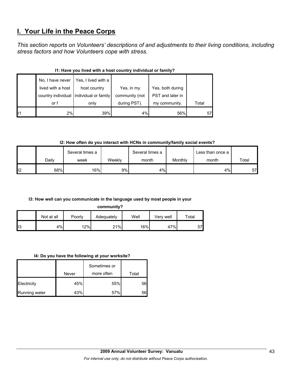## **I. Your Life in the Peace Corps**

*This section reports on Volunteers' descriptions of and adjustments to their living conditions, including stress factors and how Volunteers cope with stress.* 

|    | No, I have never  | Yes, I lived with a                     |                |                  |       |
|----|-------------------|-----------------------------------------|----------------|------------------|-------|
|    | lived with a host | host country                            | Yes, in my     | Yes, both during |       |
|    |                   | country individual individual or family | community (not | PST and later in |       |
|    | or f              | only                                    | during PST).   | my community.    | Total |
| 11 | 2%                | 39%                                     | 4%             | 56%              |       |

## **I1: Have you lived with a host country individual or family?**

**I2: How often do you interact with HCNs in community/family social events?**

|    |       | Several times a |        | Several times a |         | Less than once a |       |
|----|-------|-----------------|--------|-----------------|---------|------------------|-------|
|    | Dailv | week            | Weekly | month           | Monthly | month            | Total |
| 12 | 68%   | 16%             | 9%l    | 4%              |         | 4%               | 57    |

## **I3: How well can you communicate in the language used by most people in your**

**community?**

|                | Not at all | Poorly | Adequately | Well | Verv well | $\tau$ otal |
|----------------|------------|--------|------------|------|-----------|-------------|
| $\mathsf{II}3$ | 4%         | 12%    | 21%        | 16%  | 47%       | 57          |

#### **I4: Do you have the following at your worksite?**

|               |       | Sometimes or |       |
|---------------|-------|--------------|-------|
|               | Never | more often   | Total |
| Electricity   | 45%   | 55%          | 56    |
| Running water | 43%   | 57%          | 56    |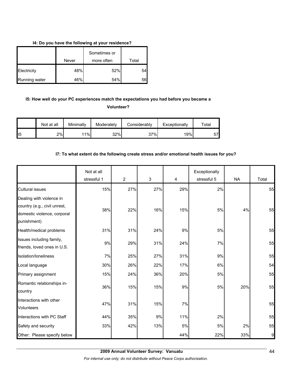## **I4: Do you have the following at your residence?**

|               | Sometimes or |            |       |
|---------------|--------------|------------|-------|
|               | Never        | more often | Total |
| Electricity   | 48%          | 52%        | 54    |
| Running water | 46%          | 54%        | 56    |

# **I5: How well do your PC experiences match the expectations you had before you became a**

**Volunteer?** 

|     | Not at all | Minimally | Moderately | Considerably | Exceptionally | $\tau$ otal |
|-----|------------|-----------|------------|--------------|---------------|-------------|
| ll5 | 2%         | 11%       | 32%        | 37%          | 19%           | 57          |

## **I7: To what extent do the following create stress and/or emotional health issues for you?**

|                                                                                                        | Not at all  |                |     |     | Exceptionally |           |       |
|--------------------------------------------------------------------------------------------------------|-------------|----------------|-----|-----|---------------|-----------|-------|
|                                                                                                        | stressful 1 | $\overline{c}$ | 3   | 4   | stressful 5   | <b>NA</b> | Total |
| <b>Cultural issues</b>                                                                                 | 15%         | 27%            | 27% | 29% | 2%            |           | 55    |
| Dealing with violence in<br>country (e.g., civil unrest,<br>domestic violence, corporal<br>punishment) | 38%         | 22%            | 16% | 15% | 5%            | 4%        | 55    |
| Health/medical problems                                                                                | 31%         | 31%            | 24% | 9%  | 5%            |           | 55    |
| Issues including family,<br>friends, loved ones in U.S.                                                | 9%          | 29%            | 31% | 24% | 7%            |           | 55    |
| Isolation/loneliness                                                                                   | 7%          | 25%            | 27% | 31% | 9%            |           | 55    |
| Local language                                                                                         | 30%         | 26%            | 22% | 17% | 6%            |           | 54    |
| Primary assignment                                                                                     | 15%         | 24%            | 36% | 20% | 5%            |           | 55    |
| Romantic relationships in-<br>country                                                                  | 36%         | 15%            | 15% | 9%  | 5%            | 20%       | 55    |
| Interactions with other<br><b>Volunteers</b>                                                           | 47%         | 31%            | 15% | 7%  |               |           | 55    |
| Interactions with PC Staff                                                                             | 44%         | 35%            | 9%  | 11% | 2%            |           | 55    |
| Safety and security                                                                                    | 33%         | 42%            | 13% | 5%  | 5%            | 2%        | 55    |
| Other: Please specify below                                                                            |             |                |     | 44% | 22%           | 33%       | 9     |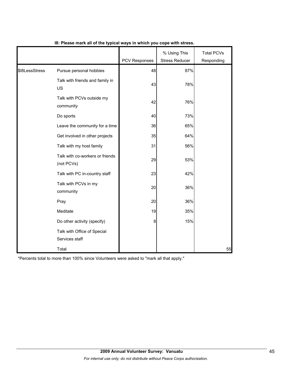|                |                                               | PCV Responses | % Using This<br><b>Stress Reducer</b> | <b>Total PCVs</b><br>Responding |
|----------------|-----------------------------------------------|---------------|---------------------------------------|---------------------------------|
| \$I8LessStress | Pursue personal hobbies                       | 48            | 87%                                   |                                 |
|                | Talk with friends and family in<br>US         | 43            | 78%                                   |                                 |
|                | Talk with PCVs outside my<br>community        | 42            | 76%                                   |                                 |
|                | Do sports                                     | 40            | 73%                                   |                                 |
|                | Leave the community for a time                | 36            | 65%                                   |                                 |
|                | Get involved in other projects                | 35            | 64%                                   |                                 |
|                | Talk with my host family                      | 31            | 56%                                   |                                 |
|                | Talk with co-workers or friends<br>(not PCVs) | 29            | 53%                                   |                                 |
|                | Talk with PC in-country staff                 | 23            | 42%                                   |                                 |
|                | Talk with PCVs in my<br>community             | 20            | 36%                                   |                                 |
|                | Pray                                          | 20            | 36%                                   |                                 |
|                | Meditate                                      | 19            | 35%                                   |                                 |
|                | Do other activity (specify)                   | 8             | 15%                                   |                                 |
|                | Talk with Office of Special<br>Services staff |               |                                       |                                 |
|                | Total                                         |               |                                       | 55                              |

## **I8: Please mark all of the typical ways in which you cope with stress.**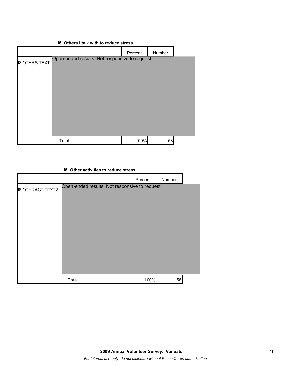## **I8: Others I talk with to reduce stress**

|                      |                                                | Percent | Number |  |
|----------------------|------------------------------------------------|---------|--------|--|
| <b>I8.OTHRS.TEXT</b> | Open-ended results. Not responsive to request. |         |        |  |
|                      |                                                |         |        |  |
|                      |                                                |         |        |  |
|                      |                                                |         |        |  |
|                      |                                                |         |        |  |
|                      |                                                |         |        |  |
|                      |                                                |         |        |  |
|                      |                                                |         |        |  |
|                      | Total                                          | 100%    | 58     |  |

|                         | 18: Other activities to reduce stress          |         |        |  |
|-------------------------|------------------------------------------------|---------|--------|--|
|                         |                                                | Percent | Number |  |
| <b>I8.OTHRACT.TEXT2</b> | Open-ended results. Not responsive to request. |         |        |  |
|                         | Total                                          | 100%    | 58     |  |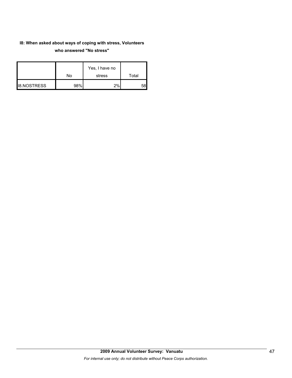## **I8: When asked about ways of coping with stress, Volunteers who answered "No stress"**

|                    | No  | Yes, I have no<br>stress | Total |
|--------------------|-----|--------------------------|-------|
| <b>I8.NOSTRESS</b> | 98% | 2%                       | 58'   |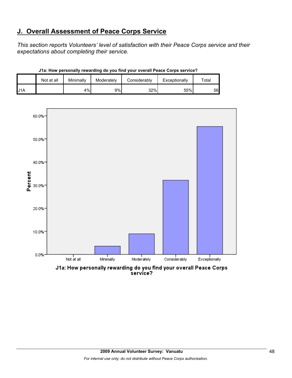## **J. Overall Assessment of Peace Corps Service**

*This section reports Volunteers' level of satisfaction with their Peace Corps service and their expectations about completing their service.* 

|                  | Not at all | Minimally | Moderately | Considerably | Exceptionally | $\tau$ otal |
|------------------|------------|-----------|------------|--------------|---------------|-------------|
| J <sub>1</sub> A |            | 4%1       | 9%         | 32%          | 55%           | 56          |

**J1a: How personally rewarding do you find your overall Peace Corps service?**



J1a: How personally rewarding do you find your overall Peace Corps<br>service?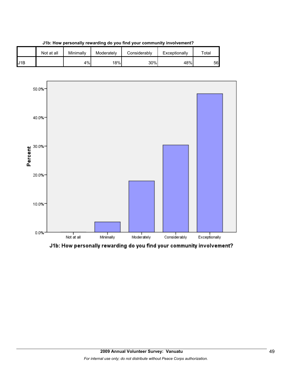

**J1b: How personally rewarding do you find your community involvement?**



J1b: How personally rewarding do you find your community involvement?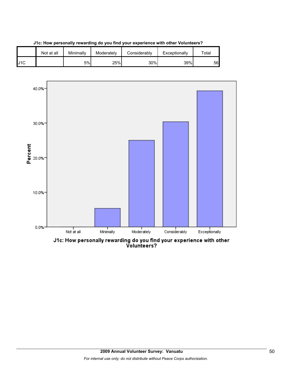





J1c: How personally rewarding do you find your experience with other<br>Volunteers?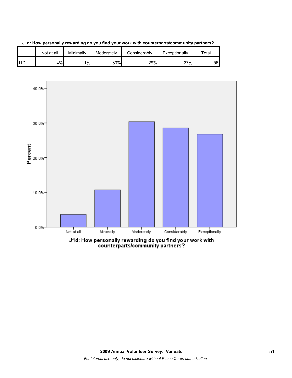

**J1d: How personally rewarding do you find your work with counterparts/community partners?**

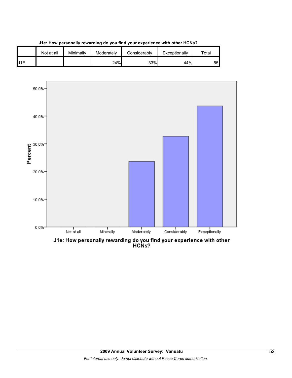

**J1e: How personally rewarding do you find your experience with other HCNs?**



J1e: How personally rewarding do you find your experience with other<br>HCNs?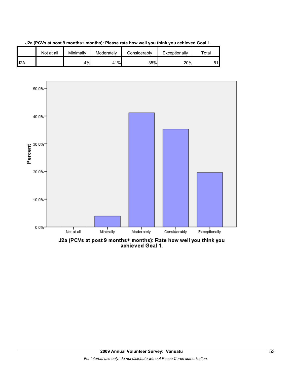



**J2a (PCVs at post 9 months+ months): Please rate how well you think you achieved Goal 1.**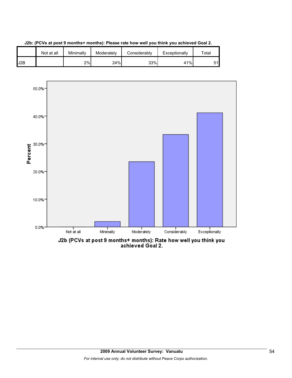



J2b (PCVs at post 9 months+ months): Rate how well you think you<br>achieved Goal 2.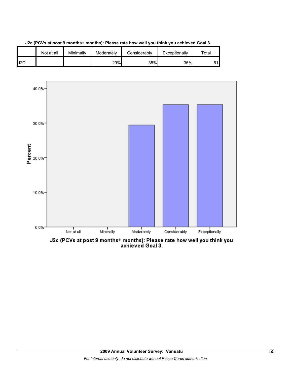





J2c (PCVs at post 9 months+ months): Please rate how well you think you<br>achieved Goal 3.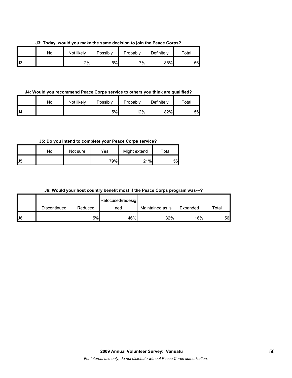**J3: Today, would you make the same decision to join the Peace Corps?**

|     | No | Not likely | Possibly | Probably | Definitely | Total |
|-----|----|------------|----------|----------|------------|-------|
| IJ3 |    | 2%         | 5%       | $7\%$    | 86%        | 56    |

#### **J4: Would you recommend Peace Corps service to others you think are qualified?**

|     | No | Not likely | Possibly | Probably | Definitely | Total |
|-----|----|------------|----------|----------|------------|-------|
| IJ4 |    |            | 5%       | 12%      | 82%        | 56    |

## **J5: Do you intend to complete your Peace Corps service?**

|                | No | Not sure | Yes | Might extend | Total |
|----------------|----|----------|-----|--------------|-------|
| J <sub>5</sub> |    |          | 79% | 21%          | 56    |

### **J6: Would your host country benefit most if the Peace Corps program was---?**

|    |              |         | Refocused/redesig |                  |                  |       |
|----|--------------|---------|-------------------|------------------|------------------|-------|
|    | Discontinued | Reduced | ned               | Maintained as is | Expanded         | Total |
| J6 |              | 5%      | 46%               | 32%              | 16% <sub>I</sub> | 56    |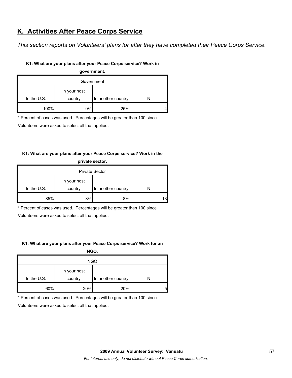## **K. Activities After Peace Corps Service**

*This section reports on Volunteers' plans for after they have completed their Peace Corps Service.* 

## **K1: What are your plans after your Peace Corps service? Work in**

| government.   |              |                    |  |  |  |
|---------------|--------------|--------------------|--|--|--|
| Government    |              |                    |  |  |  |
|               | In your host |                    |  |  |  |
| In the $U.S.$ | country      | In another country |  |  |  |
| 100%          | 0%           | 25%                |  |  |  |

\* Percent of cases was used. Percentages will be greater than 100 since

Volunteers were asked to select all that applied.

## **K1: What are your plans after your Peace Corps service? Work in the**

| private sector.       |              |                    |    |  |
|-----------------------|--------------|--------------------|----|--|
| <b>Private Sector</b> |              |                    |    |  |
|                       | In your host |                    |    |  |
| In the $U.S.$         | country      | In another country | N  |  |
| 85%                   | 8%           | 8%                 | 13 |  |

\* Percent of cases was used. Percentages will be greater than 100 since

Volunteers were asked to select all that applied.

## **K1: What are your plans after your Peace Corps service? Work for an**

**NGO.**

| <b>NGO</b>    |                         |                    |   |  |
|---------------|-------------------------|--------------------|---|--|
| In the $U.S.$ | In your host<br>country | In another country |   |  |
| 60%           | 20%                     | 20%                | 5 |  |

\* Percent of cases was used. Percentages will be greater than 100 since

Volunteers were asked to select all that applied.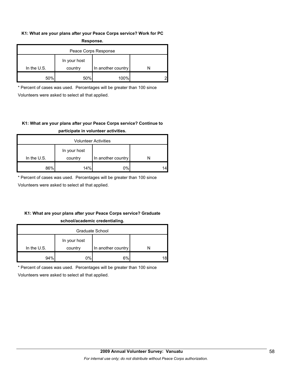## **K1: What are your plans after your Peace Corps service? Work for PC Response.**

| -----------          |                         |                    |  |  |  |
|----------------------|-------------------------|--------------------|--|--|--|
| Peace Corps Response |                         |                    |  |  |  |
| In the $U.S.$        | In your host<br>country | In another country |  |  |  |
| 50%                  | 50%                     | 100%               |  |  |  |

\* Percent of cases was used. Percentages will be greater than 100 since Volunteers were asked to select all that applied.

## **K1: What are your plans after your Peace Corps service? Continue to participate in volunteer activities.**

| <b>Volunteer Activities</b> |              |                    |    |  |
|-----------------------------|--------------|--------------------|----|--|
|                             | In your host |                    |    |  |
| In the $U.S.$               | country      | In another country |    |  |
| 86%                         | 14%          | 0%                 | 14 |  |

\* Percent of cases was used. Percentages will be greater than 100 since

Volunteers were asked to select all that applied.

## **K1: What are your plans after your Peace Corps service? Graduate school/academic credentialing.**

| Graduate School |              |                    |    |  |
|-----------------|--------------|--------------------|----|--|
|                 | In your host |                    |    |  |
| In the $U.S.$   | country      | In another country |    |  |
| 94%             | 0%l          | 6%                 | 18 |  |

\* Percent of cases was used. Percentages will be greater than 100 since

Volunteers were asked to select all that applied.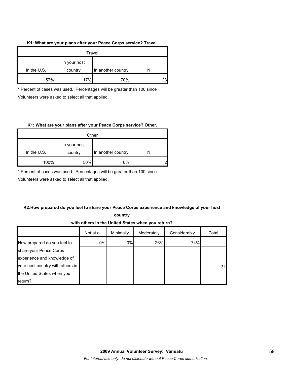### **K1: What are your plans after your Peace Corps service? Travel.**

| Travel                                                         |     |     |     |
|----------------------------------------------------------------|-----|-----|-----|
| In your host<br>In the $U.S.$<br>In another country<br>country |     |     |     |
| 57%                                                            | 17% | 70% | 231 |

\* Percent of cases was used. Percentages will be greater than 100 since Volunteers were asked to select all that applied.

### **K1: What are your plans after your Peace Corps service? Other.**

| Other         |                         |                    |   |
|---------------|-------------------------|--------------------|---|
| In the $U.S.$ | In your host<br>country | In another country |   |
| 100%          | 50%                     | 0%                 | ⌒ |

\* Percent of cases was used. Percentages will be greater than 100 since

Volunteers were asked to select all that applied.

## **K2:How prepared do you feel to share your Peace Corps experience and knowledge of your host**

**country** 

**with others in the United States when you return?**

|                                  | Not at all | Minimally | Moderately | Considerably | Total |
|----------------------------------|------------|-----------|------------|--------------|-------|
| How prepared do you feel to      | 0%         | 0%        | 26%        | 74%          |       |
| share your Peace Corps           |            |           |            |              |       |
| experience and knowledge of      |            |           |            |              |       |
| your host country with others in |            |           |            |              | 31    |
| the United States when you       |            |           |            |              |       |
| return?                          |            |           |            |              |       |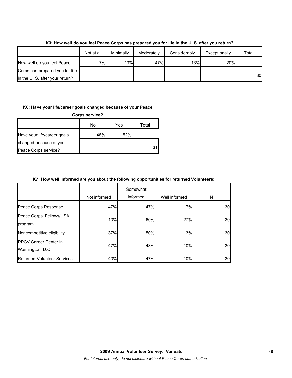|                                 | Not at all | Minimally | Moderately | Considerably | Exceptionally | Total |
|---------------------------------|------------|-----------|------------|--------------|---------------|-------|
| How well do you feel Peace      | 7%I        | 13%       | 47%        | 13%          | 20%           |       |
| Corps has prepared you for life |            |           |            |              |               |       |
| in the U.S. after your return?  |            |           |            |              |               | 30    |

## **K3: How well do you feel Peace Corps has prepared you for life in the U. S. after you return?**

### **K6: Have your life/career goals changed because of your Peace**

| <b>Corps service?</b>       |     |     |       |  |
|-----------------------------|-----|-----|-------|--|
|                             | No  | Yes | Total |  |
| Have your life/career goals | 48% | 52% |       |  |
| changed because of your     |     |     |       |  |
| Peace Corps service?        |     |     | 31    |  |

## **K7: How well informed are you about the following opportunities for returned Volunteers:**

|                                                  | Not informed | Somewhat<br>informed | Well informed | N  |
|--------------------------------------------------|--------------|----------------------|---------------|----|
| Peace Corps Response                             | 47%          | 47%                  | 7%l           | 30 |
| Peace Corps' Fellows/USA<br>program              | 13%          | 60%                  | 27%           | 30 |
| Noncompetitive eligibility                       | 37%          | 50%                  | 13%           | 30 |
| <b>RPCV Career Center in</b><br>Washington, D.C. | 47%          | 43%                  | 10%           | 30 |
| <b>Returned Volunteer Services</b>               | 43%          | 47%                  | 10%           | 30 |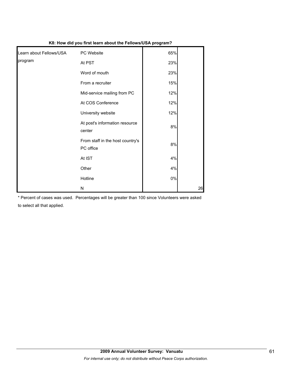|                         | no. How ald you hist learn about the Fellows/00A program : |       |    |
|-------------------------|------------------------------------------------------------|-------|----|
| Learn about Fellows/USA | PC Website                                                 | 65%   |    |
| program                 | At PST                                                     | 23%   |    |
|                         | Word of mouth                                              | 23%   |    |
|                         | From a recruiter                                           | 15%   |    |
|                         | Mid-service mailing from PC                                | 12%   |    |
|                         | At COS Conference                                          | 12%   |    |
|                         | University website                                         | 12%   |    |
|                         | At post's information resource<br>center                   | 8%    |    |
|                         | From staff in the host country's<br>PC office              | 8%    |    |
|                         | At IST                                                     | 4%    |    |
|                         | Other                                                      | 4%    |    |
|                         | Hotline                                                    | $0\%$ |    |
|                         | N                                                          |       | 26 |

**K8: How did you first learn about the Fellows/USA program?**

\* Percent of cases was used. Percentages will be greater than 100 since Volunteers were asked to select all that applied.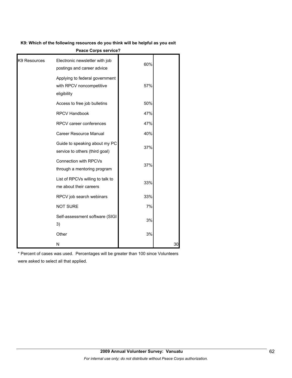## **K9: Which of the following resources do you think will be helpful as you exit**

|              | <b>AND AND AND AND AND A</b>                                              |     |    |
|--------------|---------------------------------------------------------------------------|-----|----|
| K9 Resources | Electronic newsletter with job<br>postings and career advice              | 60% |    |
|              | Applying to federal government<br>with RPCV noncompetitive<br>eligibility | 57% |    |
|              | Access to free job bulletins                                              | 50% |    |
|              | <b>RPCV Handbook</b>                                                      | 47% |    |
|              | RPCV career conferences                                                   | 47% |    |
|              | <b>Career Resource Manual</b>                                             | 40% |    |
|              | Guide to speaking about my PC<br>service to others (third goal)           | 37% |    |
|              | <b>Connection with RPCVs</b><br>through a mentoring program               | 37% |    |
|              | List of RPCVs willing to talk to<br>me about their careers                | 33% |    |
|              | RPCV job search webinars                                                  | 33% |    |
|              | <b>NOT SURE</b>                                                           | 7%  |    |
|              | Self-assessment software (SIGI<br>3)                                      | 3%  |    |
|              | Other                                                                     | 3%  |    |
|              | N                                                                         |     | 30 |

**Peace Corps service?**

\* Percent of cases was used. Percentages will be greater than 100 since Volunteers were asked to select all that applied.